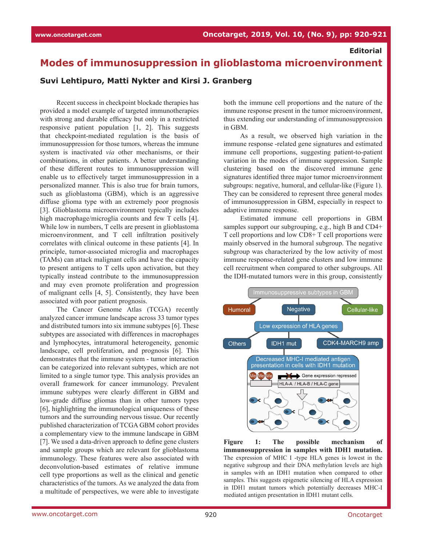## **Editorial**

## **Modes of immunosuppression in glioblastoma microenvironment**

## **Suvi Lehtipuro, Matti Nykter and Kirsi J. Granberg**

Recent success in checkpoint blockade therapies has provided a model example of targeted immunotherapies with strong and durable efficacy but only in a restricted responsive patient population [\[1, 2\].](https://paperpile.com/c/NP2KGV/9KoWO+ezMnq) This suggests that checkpoint-mediated regulation is the basis of immunosuppression for those tumors, whereas the immune system is inactivated *via* other mechanisms, or their combinations, in other patients. A better understanding of these different routes to immunosuppression will enable us to effectively target immunosuppression in a personalized manner. This is also true for brain tumors, such as glioblastoma (GBM), which is an aggressive diffuse glioma type with an extremely poor prognosis [\[3\]](https://paperpile.com/c/NP2KGV/t2yU). Glioblastoma microenvironment typically includes high macrophage/microglia counts and few T cells [\[4\].](https://paperpile.com/c/NP2KGV/wImj) While low in numbers, T cells are present in glioblastoma microenvironment, and T cell infiltration positively correlates with clinical outcome in these patients [\[4\]](https://paperpile.com/c/NP2KGV/wImj). In principle, tumor-associated microglia and macrophages (TAMs) can attack malignant cells and have the capacity to present antigens to T cells upon activation, but they typically instead contribute to the immunosuppression and may even promote proliferation and progression of malignant cells [\[4, 5\]](https://paperpile.com/c/NP2KGV/GmvA+wImj). Consistently, they have been associated with poor patient prognosis.

The Cancer Genome Atlas (TCGA) recently analyzed cancer immune landscape across 33 tumor types and distributed tumors into six immune subtypes [\[6\].](https://paperpile.com/c/NP2KGV/lkU2) These subtypes are associated with differences in macrophages and lymphocytes, intratumoral heterogeneity, genomic landscape, cell proliferation, and prognosis [\[6\].](https://paperpile.com/c/NP2KGV/lkU2) This demonstrates that the immune system - tumor interaction can be categorized into relevant subtypes, which are not limited to a single tumor type. This analysis provides an overall framework for cancer immunology. Prevalent immune subtypes were clearly different in GBM and low-grade diffuse gliomas than in other tumors types [\[6\],](https://paperpile.com/c/NP2KGV/lkU2) highlighting the immunological uniqueness of these tumors and the surrounding nervous tissue. Our recently published characterization of TCGA GBM cohort provides a complementary view to the immune landscape in GBM [\[7\]](https://paperpile.com/c/NP2KGV/a3pE). We used a data-driven approach to define gene clusters and sample groups which are relevant for glioblastoma immunology. These features were also associated with deconvolution-based estimates of relative immune cell type proportions as well as the clinical and genetic characteristics of the tumors. As we analyzed the data from a multitude of perspectives, we were able to investigate both the immune cell proportions and the nature of the immune response present in the tumor microenvironment, thus extending our understanding of immunosuppression in GBM.

As a result, we observed high variation in the immune response -related gene signatures and estimated immune cell proportions, suggesting patient-to-patient variation in the modes of immune suppression. Sample clustering based on the discovered immune gene signatures identified three major tumor microenvironment subgroups: negative, humoral, and cellular-like (Figure 1). They can be considered to represent three general modes of immunosuppression in GBM, especially in respect to adaptive immune response.

Estimated immune cell proportions in GBM samples support our subgrouping, e.g., high B and CD4+ T cell proportions and low CD8+ T cell proportions were mainly observed in the humoral subgroup. The negative subgroup was characterized by the low activity of most immune response-related gene clusters and low immune cell recruitment when compared to other subgroups. All the IDH-mutated tumors were in this group, consistently



**Figure 1: The possible mechanism of immunosuppression in samples with IDH1 mutation.**  The expression of MHC I -type HLA genes is lowest in the negative subgroup and their DNA methylation levels are high in samples with an IDH1 mutation when compared to other samples. This suggests epigenetic silencing of HLA expression in IDH1 mutant tumors which potentially decreases MHC-I mediated antigen presentation in IDH1 mutant cells.